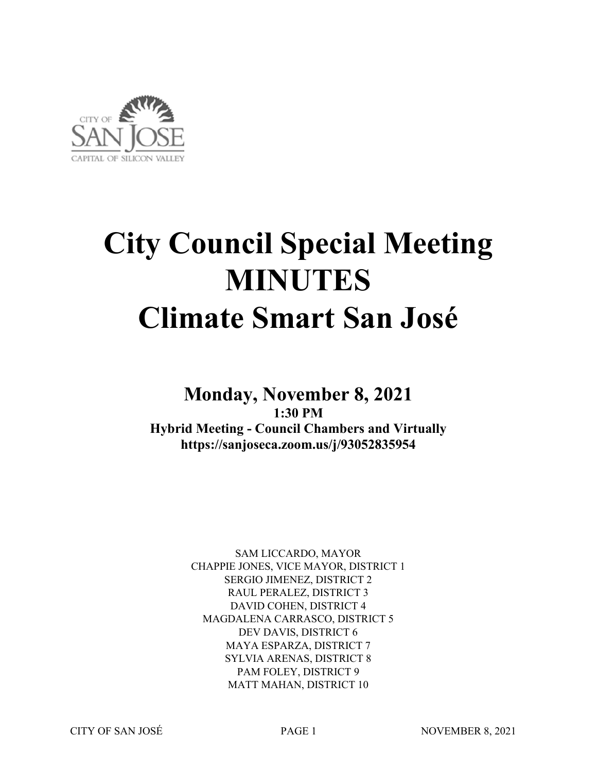

# **City Council Special Meeting MINUTES Climate Smart San José**

### **Monday, November 8, 2021 1:30 PM Hybrid Meeting - Council Chambers and Virtually https://sanjoseca.zoom.us/j/93052835954**

SAM LICCARDO, MAYOR CHAPPIE JONES, VICE MAYOR, DISTRICT 1 SERGIO JIMENEZ, DISTRICT 2 RAUL PERALEZ, DISTRICT 3 DAVID COHEN, DISTRICT 4 MAGDALENA CARRASCO, DISTRICT 5 DEV DAVIS, DISTRICT 6 MAYA ESPARZA, DISTRICT 7 SYLVIA ARENAS, DISTRICT 8 PAM FOLEY, DISTRICT 9 MATT MAHAN, DISTRICT 10

CITY OF SAN JOSÉ PAGE 1 NOVEMBER 8, 2021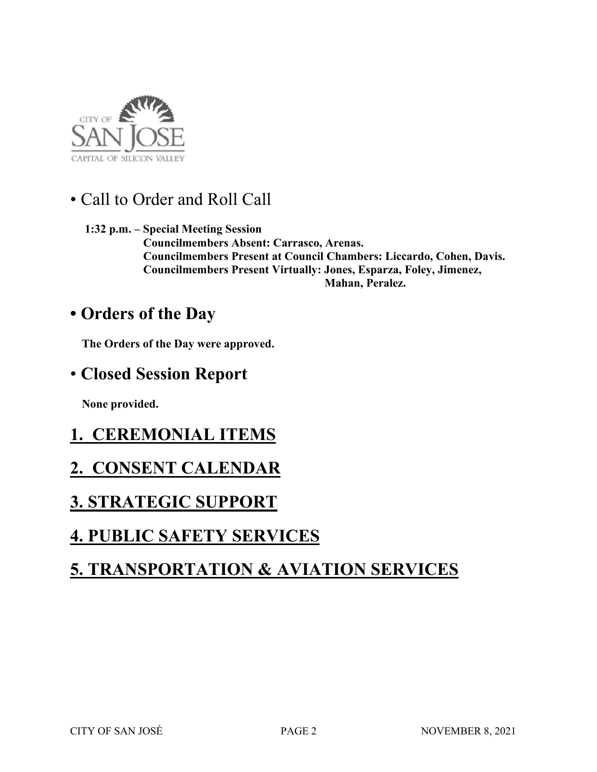

• Call to Order and Roll Call

 **1:32 p.m. – Special Meeting Session Councilmembers Absent: Carrasco, Arenas. Councilmembers Present at Council Chambers: Liccardo, Cohen, Davis. Councilmembers Present Virtually: Jones, Esparza, Foley, Jimenez, Mahan, Peralez.** 

## **• Orders of the Day**

 **The Orders of the Day were approved.**

### • **Closed Session Report**

 **None provided.** 

# **1. CEREMONIAL ITEMS**

## **2. CONSENT CALENDAR**

## **3. STRATEGIC SUPPORT**

# **4. PUBLIC SAFETY SERVICES**

# **5. TRANSPORTATION & AVIATION SERVICES**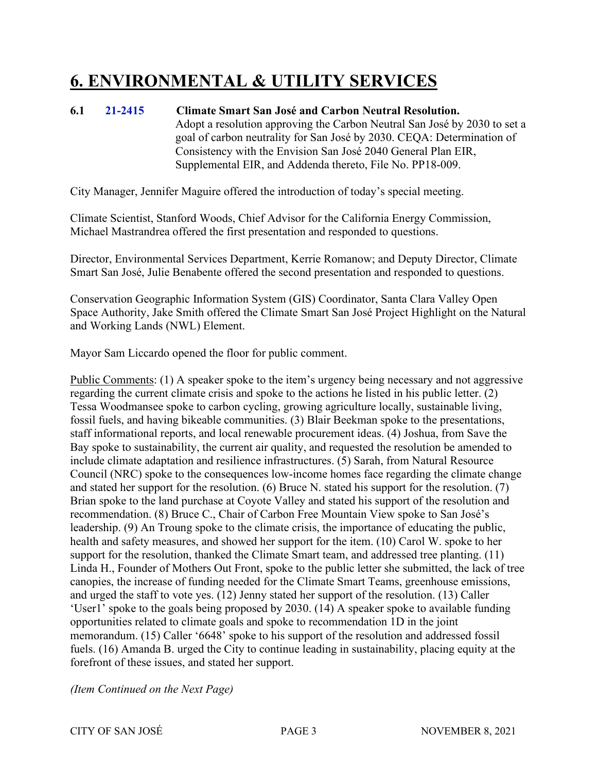# **6. ENVIRONMENTAL & UTILITY SERVICES**

#### **6.1 21-2415 Climate Smart San José and Carbon Neutral Resolution.** Adopt a resolution approving the Carbon Neutral San José by 2030 to set a goal of carbon neutrality for San José by 2030. CEQA: Determination of Consistency with the Envision San José 2040 General Plan EIR, Supplemental EIR, and Addenda thereto, File No. PP18-009.

City Manager, Jennifer Maguire offered the introduction of today's special meeting.

Climate Scientist, Stanford Woods, Chief Advisor for the California Energy Commission, Michael Mastrandrea offered the first presentation and responded to questions.

Director, Environmental Services Department, Kerrie Romanow; and Deputy Director, Climate Smart San José, Julie Benabente offered the second presentation and responded to questions.

Conservation Geographic Information System (GIS) Coordinator, Santa Clara Valley Open Space Authority, Jake Smith offered the Climate Smart San José Project Highlight on the Natural and Working Lands (NWL) Element.

Mayor Sam Liccardo opened the floor for public comment.

Public Comments: (1) A speaker spoke to the item's urgency being necessary and not aggressive regarding the current climate crisis and spoke to the actions he listed in his public letter. (2) Tessa Woodmansee spoke to carbon cycling, growing agriculture locally, sustainable living, fossil fuels, and having bikeable communities. (3) Blair Beekman spoke to the presentations, staff informational reports, and local renewable procurement ideas. (4) Joshua, from Save the Bay spoke to sustainability, the current air quality, and requested the resolution be amended to include climate adaptation and resilience infrastructures. (5) Sarah, from Natural Resource Council (NRC) spoke to the consequences low-income homes face regarding the climate change and stated her support for the resolution. (6) Bruce N. stated his support for the resolution. (7) Brian spoke to the land purchase at Coyote Valley and stated his support of the resolution and recommendation. (8) Bruce C., Chair of Carbon Free Mountain View spoke to San José's leadership. (9) An Troung spoke to the climate crisis, the importance of educating the public, health and safety measures, and showed her support for the item. (10) Carol W. spoke to her support for the resolution, thanked the Climate Smart team, and addressed tree planting. (11) Linda H., Founder of Mothers Out Front, spoke to the public letter she submitted, the lack of tree canopies, the increase of funding needed for the Climate Smart Teams, greenhouse emissions, and urged the staff to vote yes. (12) Jenny stated her support of the resolution. (13) Caller 'User1' spoke to the goals being proposed by 2030. (14) A speaker spoke to available funding opportunities related to climate goals and spoke to recommendation 1D in the joint memorandum. (15) Caller '6648' spoke to his support of the resolution and addressed fossil fuels. (16) Amanda B. urged the City to continue leading in sustainability, placing equity at the forefront of these issues, and stated her support.

*(Item Continued on the Next Page)*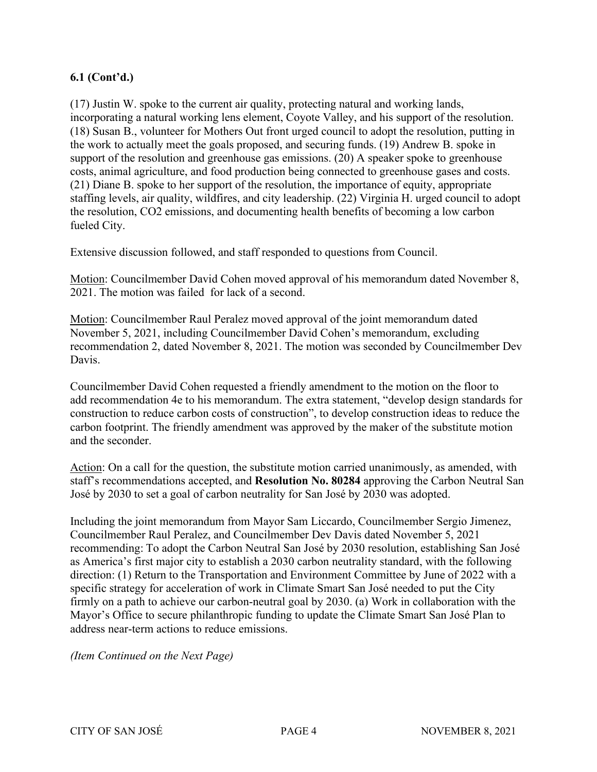#### **6.1 (Cont'd.)**

(17) Justin W. spoke to the current air quality, protecting natural and working lands, incorporating a natural working lens element, Coyote Valley, and his support of the resolution. (18) Susan B., volunteer for Mothers Out front urged council to adopt the resolution, putting in the work to actually meet the goals proposed, and securing funds. (19) Andrew B. spoke in support of the resolution and greenhouse gas emissions. (20) A speaker spoke to greenhouse costs, animal agriculture, and food production being connected to greenhouse gases and costs. (21) Diane B. spoke to her support of the resolution, the importance of equity, appropriate staffing levels, air quality, wildfires, and city leadership. (22) Virginia H. urged council to adopt the resolution, CO2 emissions, and documenting health benefits of becoming a low carbon fueled City.

Extensive discussion followed, and staff responded to questions from Council.

Motion: Councilmember David Cohen moved approval of his memorandum dated November 8, 2021. The motion was failed for lack of a second.

Motion: Councilmember Raul Peralez moved approval of the joint memorandum dated November 5, 2021, including Councilmember David Cohen's memorandum, excluding recommendation 2, dated November 8, 2021. The motion was seconded by Councilmember Dev Davis.

Councilmember David Cohen requested a friendly amendment to the motion on the floor to add recommendation 4e to his memorandum. The extra statement, "develop design standards for construction to reduce carbon costs of construction", to develop construction ideas to reduce the carbon footprint. The friendly amendment was approved by the maker of the substitute motion and the seconder.

Action: On a call for the question, the substitute motion carried unanimously, as amended, with staff's recommendations accepted, and **Resolution No. 80284** approving the Carbon Neutral San José by 2030 to set a goal of carbon neutrality for San José by 2030 was adopted.

Including the joint memorandum from Mayor Sam Liccardo, Councilmember Sergio Jimenez, Councilmember Raul Peralez, and Councilmember Dev Davis dated November 5, 2021 recommending: To adopt the Carbon Neutral San José by 2030 resolution, establishing San José as America's first major city to establish a 2030 carbon neutrality standard, with the following direction: (1) Return to the Transportation and Environment Committee by June of 2022 with a specific strategy for acceleration of work in Climate Smart San José needed to put the City firmly on a path to achieve our carbon-neutral goal by 2030. (a) Work in collaboration with the Mayor's Office to secure philanthropic funding to update the Climate Smart San José Plan to address near-term actions to reduce emissions.

*(Item Continued on the Next Page)*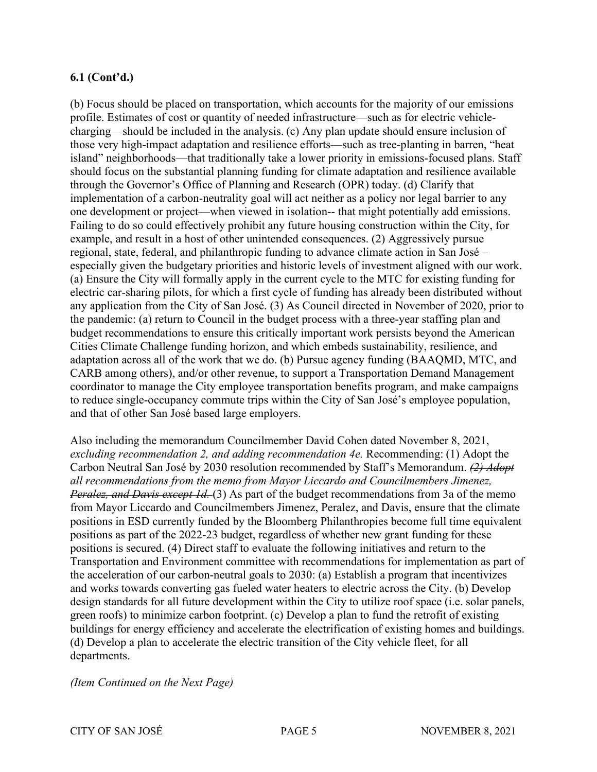#### **6.1 (Cont'd.)**

(b) Focus should be placed on transportation, which accounts for the majority of our emissions profile. Estimates of cost or quantity of needed infrastructure—such as for electric vehiclecharging—should be included in the analysis. (c) Any plan update should ensure inclusion of those very high-impact adaptation and resilience efforts—such as tree-planting in barren, "heat island" neighborhoods—that traditionally take a lower priority in emissions-focused plans. Staff should focus on the substantial planning funding for climate adaptation and resilience available through the Governor's Office of Planning and Research (OPR) today. (d) Clarify that implementation of a carbon-neutrality goal will act neither as a policy nor legal barrier to any one development or project—when viewed in isolation-- that might potentially add emissions. Failing to do so could effectively prohibit any future housing construction within the City, for example, and result in a host of other unintended consequences. (2) Aggressively pursue regional, state, federal, and philanthropic funding to advance climate action in San José – especially given the budgetary priorities and historic levels of investment aligned with our work. (a) Ensure the City will formally apply in the current cycle to the MTC for existing funding for electric car-sharing pilots, for which a first cycle of funding has already been distributed without any application from the City of San José. (3) As Council directed in November of 2020, prior to the pandemic: (a) return to Council in the budget process with a three-year staffing plan and budget recommendations to ensure this critically important work persists beyond the American Cities Climate Challenge funding horizon, and which embeds sustainability, resilience, and adaptation across all of the work that we do. (b) Pursue agency funding (BAAQMD, MTC, and CARB among others), and/or other revenue, to support a Transportation Demand Management coordinator to manage the City employee transportation benefits program, and make campaigns to reduce single-occupancy commute trips within the City of San José's employee population, and that of other San José based large employers.

Also including the memorandum Councilmember David Cohen dated November 8, 2021, *excluding recommendation 2, and adding recommendation 4e.* Recommending: (1) Adopt the Carbon Neutral San José by 2030 resolution recommended by Staff's Memorandum. *(2) Adopt all recommendations from the memo from Mayor Liccardo and Councilmembers Jimenez, Peralez, and Davis except 1d.* (3) As part of the budget recommendations from 3a of the memo from Mayor Liccardo and Councilmembers Jimenez, Peralez, and Davis, ensure that the climate positions in ESD currently funded by the Bloomberg Philanthropies become full time equivalent positions as part of the 2022-23 budget, regardless of whether new grant funding for these positions is secured. (4) Direct staff to evaluate the following initiatives and return to the Transportation and Environment committee with recommendations for implementation as part of the acceleration of our carbon-neutral goals to 2030: (a) Establish a program that incentivizes and works towards converting gas fueled water heaters to electric across the City. (b) Develop design standards for all future development within the City to utilize roof space (i.e. solar panels, green roofs) to minimize carbon footprint. (c) Develop a plan to fund the retrofit of existing buildings for energy efficiency and accelerate the electrification of existing homes and buildings. (d) Develop a plan to accelerate the electric transition of the City vehicle fleet, for all departments.

*(Item Continued on the Next Page)*